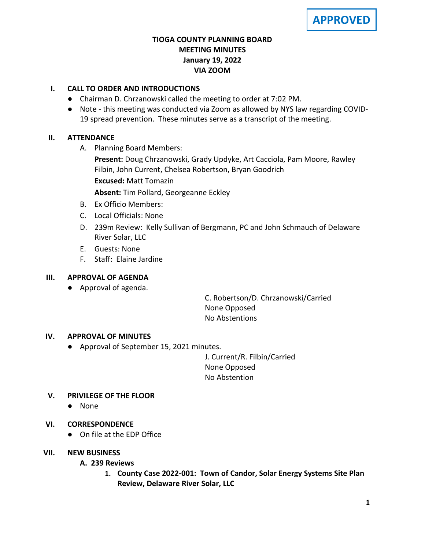# **TIOGA COUNTY PLANNING BOARD MEETING MINUTES January 19, 2022 VIA ZOOM**

# **I. CALL TO ORDER AND INTRODUCTIONS**

- Chairman D. Chrzanowski called the meeting to order at 7:02 PM.
- Note this meeting was conducted via Zoom as allowed by NYS law regarding COVID-19 spread prevention. These minutes serve as a transcript of the meeting.

## **II. ATTENDANCE**

A. Planning Board Members:

**Present:** Doug Chrzanowski, Grady Updyke, Art Cacciola, Pam Moore, Rawley Filbin, John Current, Chelsea Robertson, Bryan Goodrich

**Excused:** Matt Tomazin

**Absent:** Tim Pollard, Georgeanne Eckley

- B. Ex Officio Members:
- C. Local Officials: None
- D. 239m Review: Kelly Sullivan of Bergmann, PC and John Schmauch of Delaware River Solar, LLC
- E. Guests: None
- F. Staff: Elaine Jardine

## **III. APPROVAL OF AGENDA**

● Approval of agenda.

C. Robertson/D. Chrzanowski/Carried None Opposed No Abstentions

## **IV. APPROVAL OF MINUTES**

● Approval of September 15, 2021 minutes.

J. Current/R. Filbin/Carried None Opposed No Abstention

## **V. PRIVILEGE OF THE FLOOR**

● None

## **VI. CORRESPONDENCE**

● On file at the EDP Office

## **VII. NEW BUSINESS**

## **A. A. 239 Reviews**

**1. County Case 2022-001: Town of Candor, Solar Energy Systems Site Plan Review, Delaware River Solar, LLC**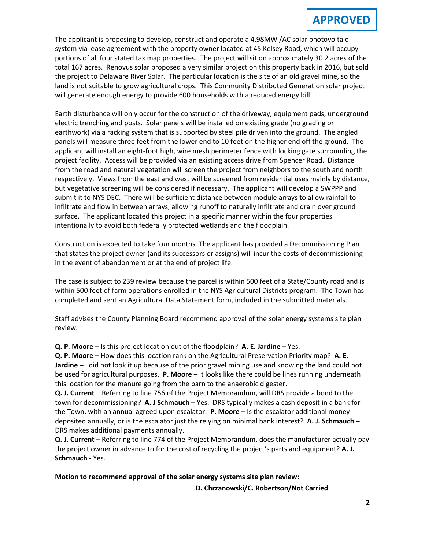The applicant is proposing to develop, construct and operate a 4.98MW /AC solar photovoltaic system via lease agreement with the property owner located at 45 Kelsey Road, which will occupy portions of all four stated tax map properties. The project will sit on approximately 30.2 acres of the total 167 acres. Renovus solar proposed a very similar project on this property back in 2016, but sold the project to Delaware River Solar. The particular location is the site of an old gravel mine, so the land is not suitable to grow agricultural crops. This Community Distributed Generation solar project will generate enough energy to provide 600 households with a reduced energy bill.

Earth disturbance will only occur for the construction of the driveway, equipment pads, underground electric trenching and posts. Solar panels will be installed on existing grade (no grading or earthwork) via a racking system that is supported by steel pile driven into the ground. The angled panels will measure three feet from the lower end to 10 feet on the higher end off the ground. The applicant will install an eight-foot high, wire mesh perimeter fence with locking gate surrounding the project facility. Access will be provided via an existing access drive from Spencer Road. Distance from the road and natural vegetation will screen the project from neighbors to the south and north respectively. Views from the east and west will be screened from residential uses mainly by distance, but vegetative screening will be considered if necessary. The applicant will develop a SWPPP and submit it to NYS DEC. There will be sufficient distance between module arrays to allow rainfall to infiltrate and flow in between arrays, allowing runoff to naturally infiltrate and drain over ground surface. The applicant located this project in a specific manner within the four properties intentionally to avoid both federally protected wetlands and the floodplain.

Construction is expected to take four months. The applicant has provided a Decommissioning Plan that states the project owner (and its successors or assigns) will incur the costs of decommissioning in the event of abandonment or at the end of project life.

The case is subject to 239 review because the parcel is within 500 feet of a State/County road and is within 500 feet of farm operations enrolled in the NYS Agricultural Districts program. The Town has completed and sent an Agricultural Data Statement form, included in the submitted materials.

Staff advises the County Planning Board recommend approval of the solar energy systems site plan review.

**Q. P. Moore** – Is this project location out of the floodplain? **A. E. Jardine** – Yes.

**Q. P. Moore** – How does this location rank on the Agricultural Preservation Priority map? **A. E. Jardine** – I did not look it up because of the prior gravel mining use and knowing the land could not be used for agricultural purposes. **P. Moore** – it looks like there could be lines running underneath this location for the manure going from the barn to the anaerobic digester.

**Q. J. Current** – Referring to line 756 of the Project Memorandum, will DRS provide a bond to the town for decommissioning? **A. J Schmauch** – Yes. DRS typically makes a cash deposit in a bank for the Town, with an annual agreed upon escalator. **P. Moore** – Is the escalator additional money deposited annually, or is the escalator just the relying on minimal bank interest? **A. J. Schmauch** – DRS makes additional payments annually.

**Q. J. Current** – Referring to line 774 of the Project Memorandum, does the manufacturer actually pay the project owner in advance to for the cost of recycling the project's parts and equipment? **A. J. Schmauch -** Yes.

**Motion to recommend approval of the solar energy systems site plan review:**

**D. Chrzanowski/C. Robertson/Not Carried**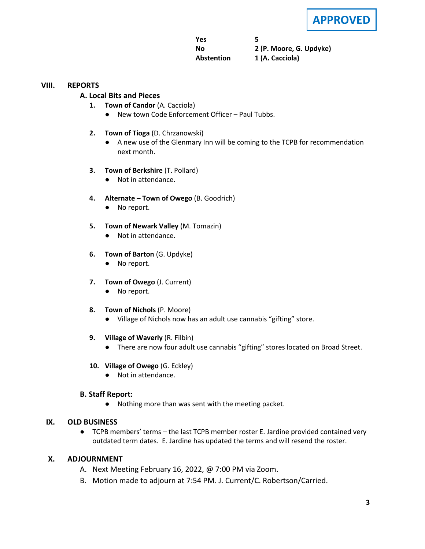**APPROVED**

**Yes 5 No 2 (P. Moore, G. Updyke) Abstention 1 (A. Cacciola)**

#### **VIII. REPORTS**

#### **A. A. Local Bits and Pieces**

- **1. Town of Candor** (A. Cacciola)
	- New town Code Enforcement Officer Paul Tubbs.
- **2. Town of Tioga** (D. Chrzanowski)
	- A new use of the Glenmary Inn will be coming to the TCPB for recommendation next month.
- **3. Town of Berkshire** (T. Pollard)
	- Not in attendance.
- **4. Alternate – Town of Owego** (B. Goodrich)
	- No report.
- **5. Town of Newark Valley** (M. Tomazin)
	- Not in attendance.
- **6. Town of Barton** (G. Updyke)
	- No report.
- **7. Town of Owego** (J. Current)
	- No report.
- **8. Town of Nichols** (P. Moore)
	- Village of Nichols now has an adult use cannabis "gifting" store.
- **9. Village of Waverly** (R. Filbin)
	- There are now four adult use cannabis "gifting" stores located on Broad Street.
- **10. Village of Owego** (G. Eckley)
	- Not in attendance.

#### **B. Staff Report:**

● Nothing more than was sent with the meeting packet.

#### **IX. OLD BUSINESS**

● TCPB members' terms – the last TCPB member roster E. Jardine provided contained very outdated term dates. E. Jardine has updated the terms and will resend the roster.

#### **X. ADJOURNMENT**

- A. Next Meeting February 16, 2022, @ 7:00 PM via Zoom.
- B. Motion made to adjourn at 7:54 PM. J. Current/C. Robertson/Carried.